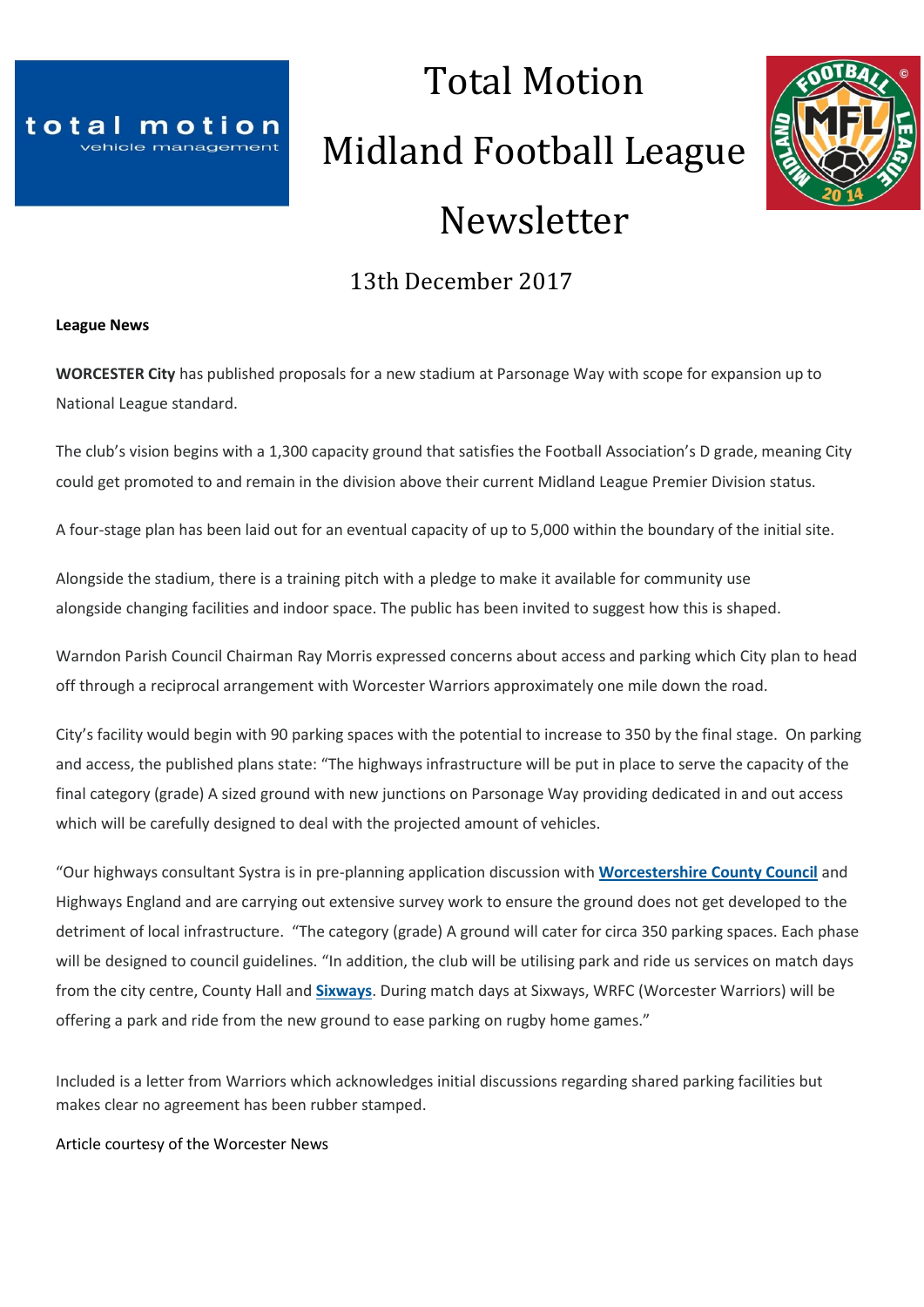

# Total Motion Midland Football League Newsletter



# 13th December 2017

#### **League News**

**WORCESTER City** has published proposals for a new stadium at Parsonage Way with scope for expansion up to National League standard.

The club's vision begins with a 1,300 capacity ground that satisfies the Football Association's D grade, meaning City could get promoted to and remain in the division above their current Midland League Premier Division status.

A four-stage plan has been laid out for an eventual capacity of up to 5,000 within the boundary of the initial site.

Alongside the stadium, there is a training pitch with a pledge to make it available for community use alongside changing facilities and indoor space. The public has been invited to suggest how this is shaped.

Warndon Parish Council Chairman Ray Morris expressed concerns about access and parking which City plan to head off through a reciprocal arrangement with Worcester Warriors approximately one mile down the road.

City's facility would begin with 90 parking spaces with the potential to increase to 350 by the final stage. On parking and access, the published plans state: "The highways infrastructure will be put in place to serve the capacity of the final category (grade) A sized ground with new junctions on Parsonage Way providing dedicated in and out access which will be carefully designed to deal with the projected amount of vehicles.

"Our highways consultant Systra is in pre-planning application discussion with **[Worcestershire](http://www.worcesternews.co.uk/search/?search=Worcestershire+County+Council&topic_id=4578) County Council** and Highways England and are carrying out extensive survey work to ensure the ground does not get developed to the detriment of local infrastructure. "The category (grade) A ground will cater for circa 350 parking spaces. Each phase will be designed to council guidelines. "In addition, the club will be utilising park and ride us services on match days from the city centre, County Hall and **[Sixways](http://www.worcesternews.co.uk/search/?search=Sixways&topic_id=2249)**. During match days at Sixways, WRFC (Worcester Warriors) will be offering a park and ride from the new ground to ease parking on rugby home games."

Included is a letter from Warriors which acknowledges initial discussions regarding shared parking facilities but makes clear no agreement has been rubber stamped.

Article courtesy of the Worcester News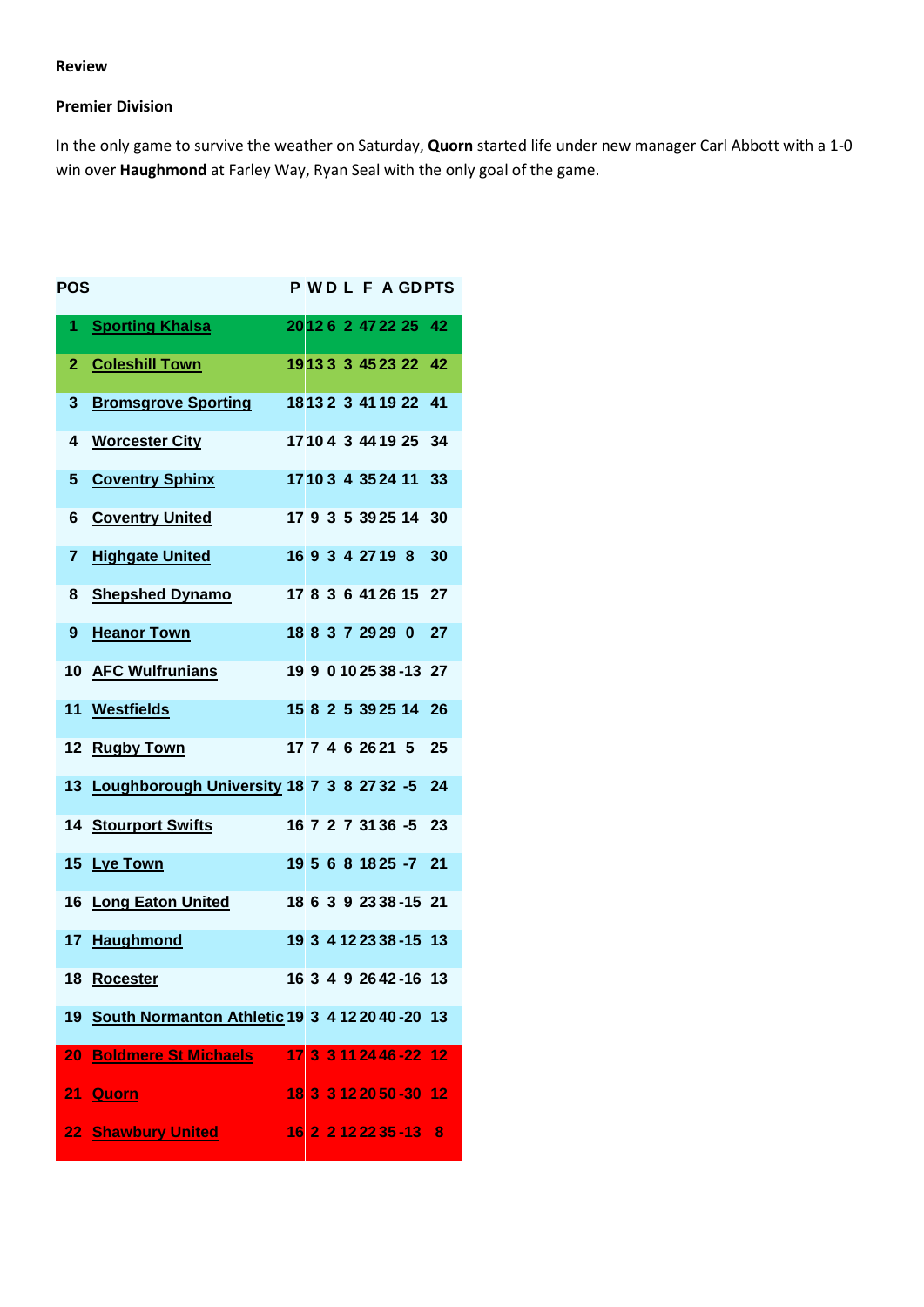#### **Review**

#### **Premier Division**

In the only game to survive the weather on Saturday, **Quorn** started life under new manager Carl Abbott with a 1-0 win over **Haughmond** at Farley Way, Ryan Seal with the only goal of the game.

| POS            |                                                     |  |  |  |                         | <b>PWDLFAGDPTS</b> |
|----------------|-----------------------------------------------------|--|--|--|-------------------------|--------------------|
| 1.             | <b>Sporting Khalsa</b>                              |  |  |  | 20126247222542          |                    |
| $\overline{2}$ | <b>Coleshill Town</b>                               |  |  |  | 1913 3 3 45 23 22 42    |                    |
| 3              | <b>Bromsgrove Sporting</b>                          |  |  |  | 18 13 2 3 41 19 22      | 41                 |
| 4              | <b>Worcester City</b>                               |  |  |  | 17104 3 44 19 25 34     |                    |
| 5              | <b>Coventry Sphinx</b>                              |  |  |  | 17103 4 35 24 11 33     |                    |
| 6              | <b>Coventry United</b>                              |  |  |  | 17 9 3 5 39 25 14       | 30                 |
| 7              | <b>Highgate United</b>                              |  |  |  | 16 9 3 4 27 19 8        | 30                 |
| 8              | <b>Shepshed Dynamo</b>                              |  |  |  | 17 8 3 6 41 26 15 27    |                    |
| 9              | <b>Heanor Town</b>                                  |  |  |  | 18 8 3 7 29 29 0        | 27                 |
|                | 10 AFC Wulfrunians                                  |  |  |  | 19 9 0 10 25 38 - 13 27 |                    |
|                | 11 Westfields                                       |  |  |  | 15 8 2 5 39 25 14       | 26                 |
| $12 \,$        | <b>Rugby Town</b>                                   |  |  |  | 17 7 4 6 26 21 5        | 25                 |
|                | 13 Loughborough University 18 7 3 8 27 32 -5 24     |  |  |  |                         |                    |
|                | 14 Stourport Swifts                                 |  |  |  | 16 7 2 7 31 36 -5 23    |                    |
|                | 15 Lye Town                                         |  |  |  | 19 5 6 8 18 25 -7 21    |                    |
|                | 16 Long Eaton United                                |  |  |  | 18 6 3 9 23 38 - 15 21  |                    |
|                | 17 Haughmond                                        |  |  |  | 19 3 4 12 23 38 - 15 13 |                    |
| 18             | Rocester                                            |  |  |  | 16 3 4 9 2642-16 13     |                    |
|                | 19 South Normanton Athletic 19 3 4 12 20 40 - 20 13 |  |  |  |                         |                    |
| 20             | <b>Boldmere St Michaels</b>                         |  |  |  | 17 3 3 11 24 46 -22 12  |                    |
|                | 21 <u>Quorn</u>                                     |  |  |  | 18 3 3 12 20 50 - 30 12 |                    |
|                | 22 Shawbury United                                  |  |  |  | 16 2 2 12 22 35 - 13 8  |                    |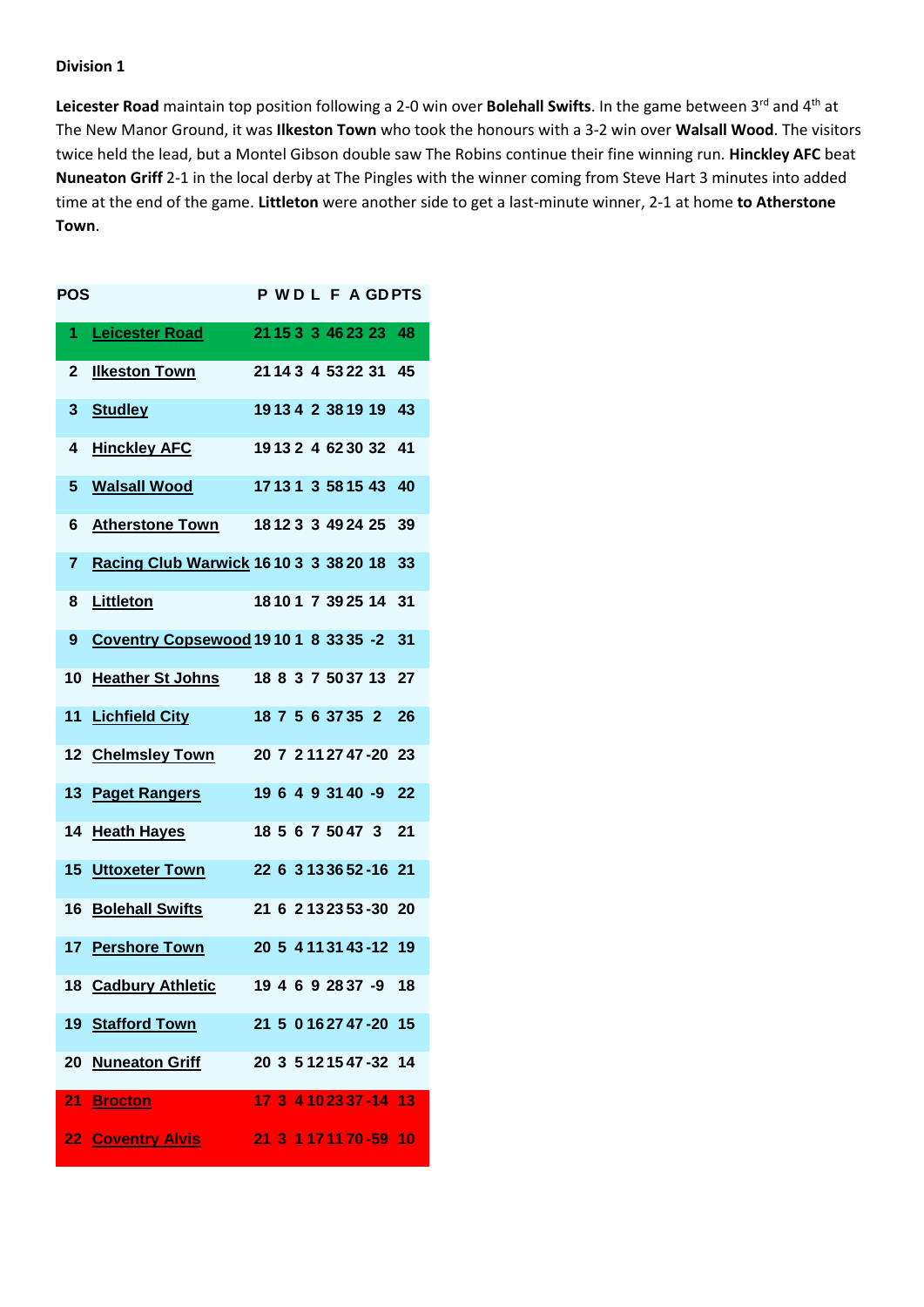Leicester Road maintain top position following a 2-0 win over Bolehall Swifts. In the game between 3<sup>rd</sup> and 4<sup>th</sup> at The New Manor Ground, it was **Ilkeston Town** who took the honours with a 3-2 win over **Walsall Wood**. The visitors twice held the lead, but a Montel Gibson double saw The Robins continue their fine winning run. **Hinckley AFC** beat **Nuneaton Griff** 2-1 in the local derby at The Pingles with the winner coming from Steve Hart 3 minutes into added time at the end of the game. **Littleton** were another side to get a last-minute winner, 2-1 at home **to Atherstone Town**.

| POS |                                              |  |  |  |                         | <b>PWDLFAGDPTS</b> |
|-----|----------------------------------------------|--|--|--|-------------------------|--------------------|
| 1   | <b>Leicester Road</b>                        |  |  |  | 21 15 3 3 46 23 23 48   |                    |
| 2   | <b>Ilkeston Town</b>                         |  |  |  | 21 14 3 4 53 22 31      | 45                 |
| 3   | <b>Studley</b>                               |  |  |  | 19134 2 3819 19         | 43                 |
| 4   | <b>Hinckley AFC</b>                          |  |  |  | 19132 4 6230 32         | 41                 |
| 5   | <b>Walsall Wood</b>                          |  |  |  | 17131 3 5815 43         | 40                 |
| 6   | <b>Atherstone Town</b>                       |  |  |  | 18123 3 49 24 25        | 39                 |
| 7   | <b>Racing Club Warwick 1610 3 3 38 20 18</b> |  |  |  |                         | 33                 |
| 8   | Littleton                                    |  |  |  | 18101 7 39 25 14        | 31                 |
| 9   | Coventry Copsewood 1910 1 8 33 35 -2         |  |  |  |                         | 31                 |
| 10  | <b>Heather St Johns</b>                      |  |  |  | 18 8 3 7 50 37 13       | 27                 |
| 11  | <b>Lichfield City</b>                        |  |  |  | 18 7 5 6 37 35 2        | 26                 |
|     | 12 Chelmsley Town                            |  |  |  | 20 7 2 11 27 47 - 20 23 |                    |
|     | 13 Paget Rangers                             |  |  |  | 19 6 4 9 31 40 -9       | 22                 |
|     | 14 Heath Hayes                               |  |  |  | 18 5 6 7 50 47 3        | 21                 |
|     | <b>15 Uttoxeter Town</b>                     |  |  |  | 22 6 3 13 36 52 - 16 21 |                    |
| 16  | <b>Bolehall Swifts</b>                       |  |  |  | 21 6 2 13 23 53 - 30 20 |                    |
|     | 17 Pershore Town                             |  |  |  | 20 5 4 11 31 43 -12 19  |                    |
|     | 18 Cadbury Athletic                          |  |  |  | 19 4 6 9 28 37 -9 18    |                    |
|     | 19 Stafford Town                             |  |  |  | 21 5 0 16 27 47 - 20 15 |                    |
|     | 20 Nuneaton Griff                            |  |  |  | 20 3 5 12 15 47 -32 14  |                    |
| 21  | <b>Brocton</b>                               |  |  |  | 17 3 4 10 23 37 - 14 13 |                    |
|     | <b>22 Coventry Alvis</b>                     |  |  |  | 21 3 1 17 11 70 - 59 10 |                    |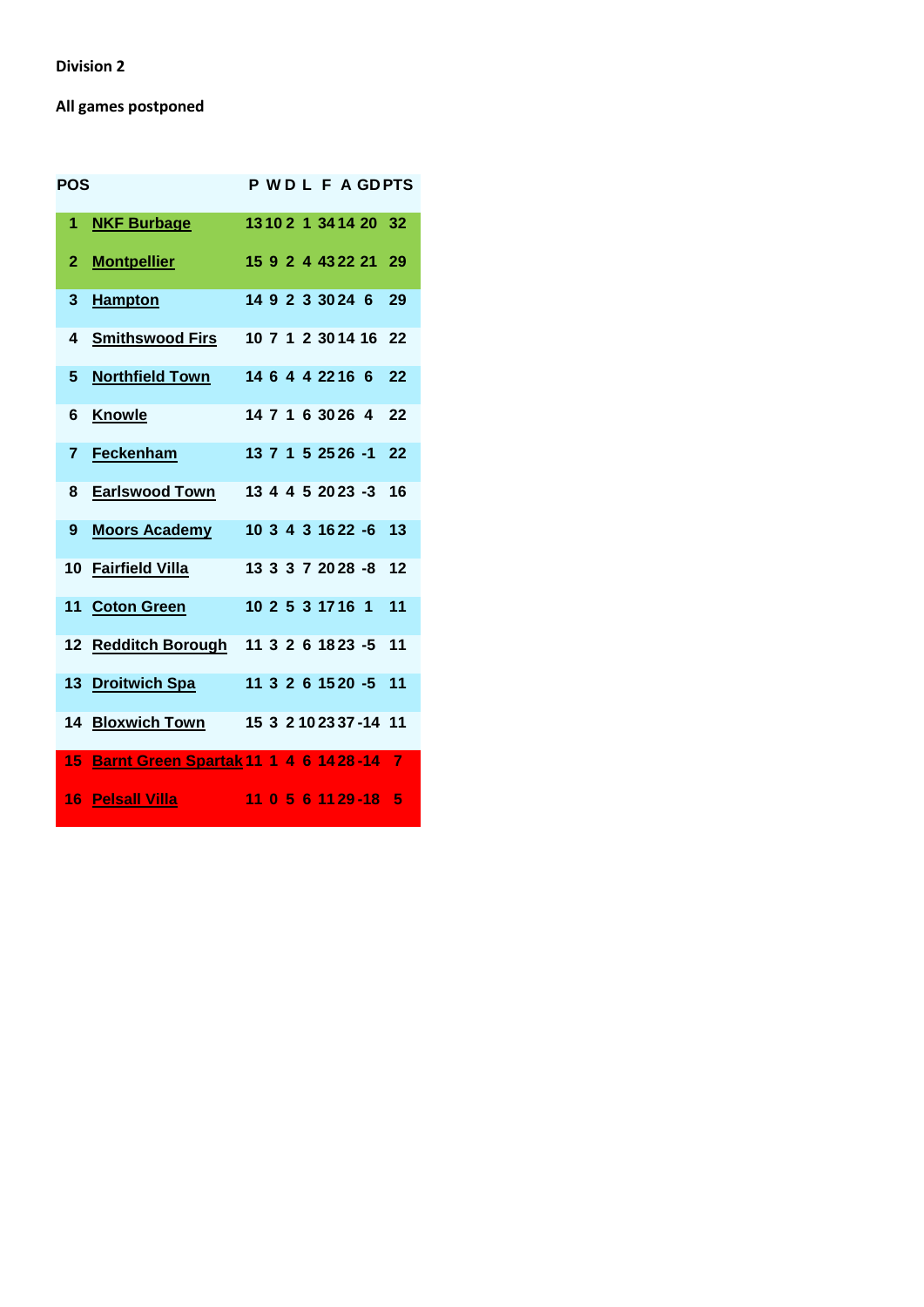# **All games postponed**

| <b>POS</b> |                                               |  |  |                  |                         | P WD L F A GDPTS |
|------------|-----------------------------------------------|--|--|------------------|-------------------------|------------------|
| 1          | <b>NKF Burbage</b>                            |  |  |                  | 13 10 2 1 34 14 20 32   |                  |
| 2          | <b>Montpellier</b>                            |  |  |                  | 15 9 2 4 43 22 21       | 29               |
| 3          | <b>Hampton</b>                                |  |  |                  | 14 9 2 3 30 24 6        | 29               |
| 4          | <u>Smithswood Firs</u>                        |  |  |                  | 10 7 1 2 30 14 16       | 22               |
| 5          | <b>Northfield Town</b>                        |  |  | 14 6 4 4 22 16 6 |                         | 22               |
| 6          | <b>Knowle</b>                                 |  |  | 14 7 1 6 30 26 4 |                         | 22               |
| 7          | Feckenham                                     |  |  |                  | 13 7 1 5 25 26 -1       | 22               |
| 8          | <b>Earlswood Town</b>                         |  |  |                  | 13 4 4 5 20 23 -3       | 16               |
| 9          | <b>Moors Academy</b>                          |  |  |                  | 10 3 4 3 16 22 -6       | 13               |
|            | 10 Fairfield Villa                            |  |  |                  | 13 3 3 7 20 28 -8       | 12               |
|            | 11 Coton Green                                |  |  | 10 2 5 3 17 16 1 |                         | 11               |
|            | 12 Redditch Borough                           |  |  |                  | 11 3 2 6 18 23 -5       | 11               |
|            | 13 Droitwich Spa                              |  |  |                  | 11 3 2 6 15 20 -5 11    |                  |
| 14         | <b>Bloxwich Town</b>                          |  |  |                  | 15 3 2 10 23 37 - 14 11 |                  |
| 15         | <b>Barnt Green Spartak 11 1 4 6 14 28 -14</b> |  |  |                  |                         | $\overline{7}$   |
| 16         | <b>Pelsall Villa</b>                          |  |  |                  | 11 0 5 6 11 29 - 18     | 5                |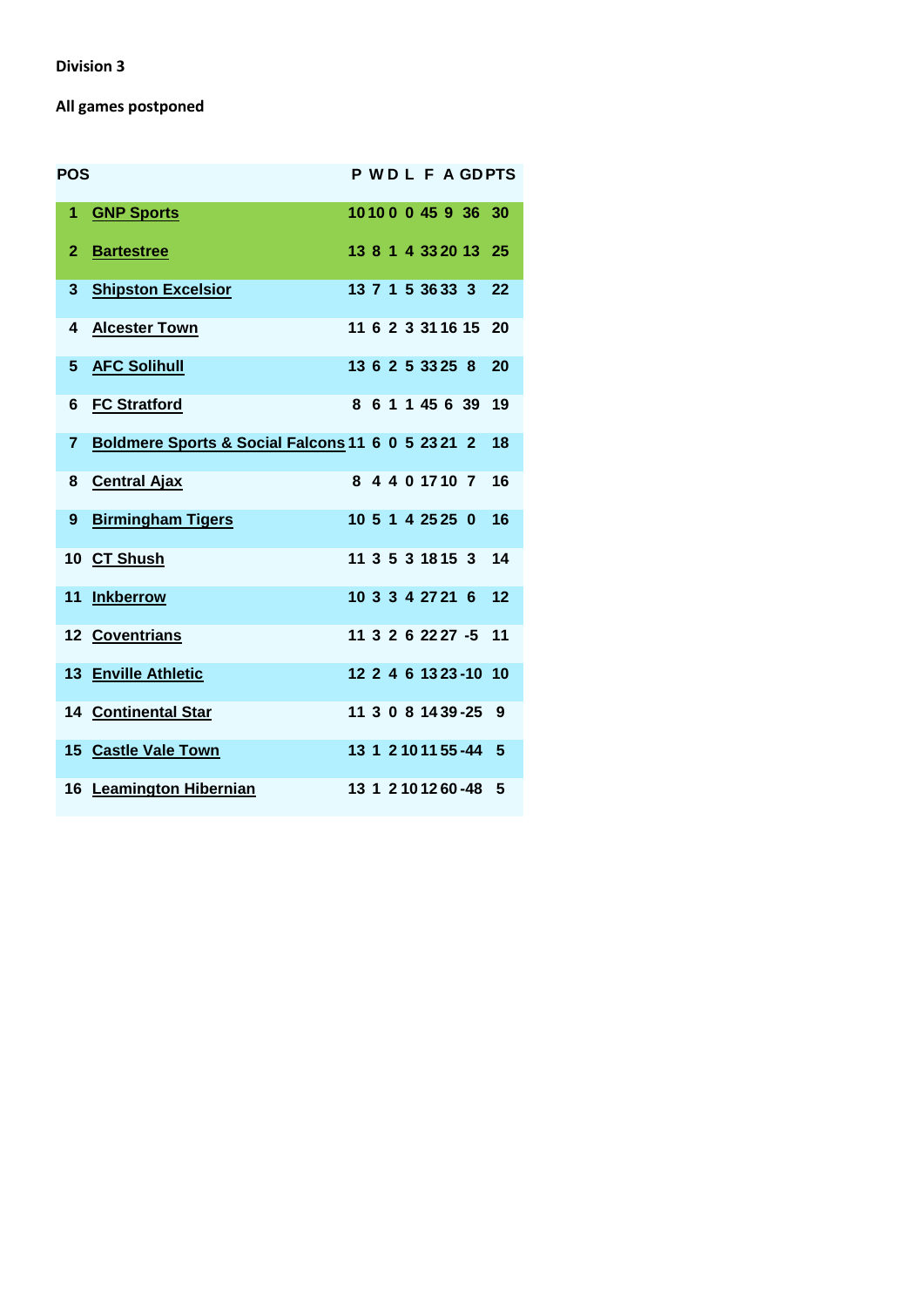# **All games postponed**

| <b>POS</b>   |                                                   |  |  |                  |                        | <b>PWDLFAGDPTS</b> |
|--------------|---------------------------------------------------|--|--|------------------|------------------------|--------------------|
| 1            | <b>GNP Sports</b>                                 |  |  |                  | 10100 0 45 9 36 30     |                    |
| $\mathbf{2}$ | <b>Bartestree</b>                                 |  |  |                  | 13 8 1 4 33 20 13 25   |                    |
| 3            | <b>Shipston Excelsior</b>                         |  |  |                  | 13 7 1 5 36 33 3       | -22                |
| 4            | <b>Alcester Town</b>                              |  |  |                  | 11 6 2 3 31 16 15 20   |                    |
| 5            | <b>AFC Solihull</b>                               |  |  |                  | 13 6 2 5 33 25 8       | 20                 |
| 6            | <b>FC Stratford</b>                               |  |  | 8 6 1 1 45 6 39  |                        | 19                 |
| 7            | Boldmere Sports & Social Falcons 11 6 0 5 23 21 2 |  |  |                  |                        | 18                 |
| 8            | <b>Central Ajax</b>                               |  |  | 8 4 4 0 17 10 7  |                        | 16                 |
| 9            | <b>Birmingham Tigers</b>                          |  |  | 10 5 1 4 25 25 0 |                        | 16                 |
|              | 10 CT Shush                                       |  |  |                  | 11 3 5 3 18 15 3       | 14                 |
|              | 11 Inkberrow                                      |  |  |                  | 10 3 3 4 27 21 6       | 12                 |
|              | 12 Coventrians                                    |  |  |                  | 11 3 2 6 22 27 -5 11   |                    |
|              | 13 Enville Athletic                               |  |  |                  | 12 2 4 6 13 23 - 10 10 |                    |
|              | 14 Continental Star                               |  |  |                  | 11 3 0 8 14 39 - 25 9  |                    |
|              | 15 Castle Vale Town                               |  |  |                  | 13 1 2 10 11 55 -44 5  |                    |
|              | 16 Leamington Hibernian                           |  |  |                  | 13 1 2 10 12 60 -48 5  |                    |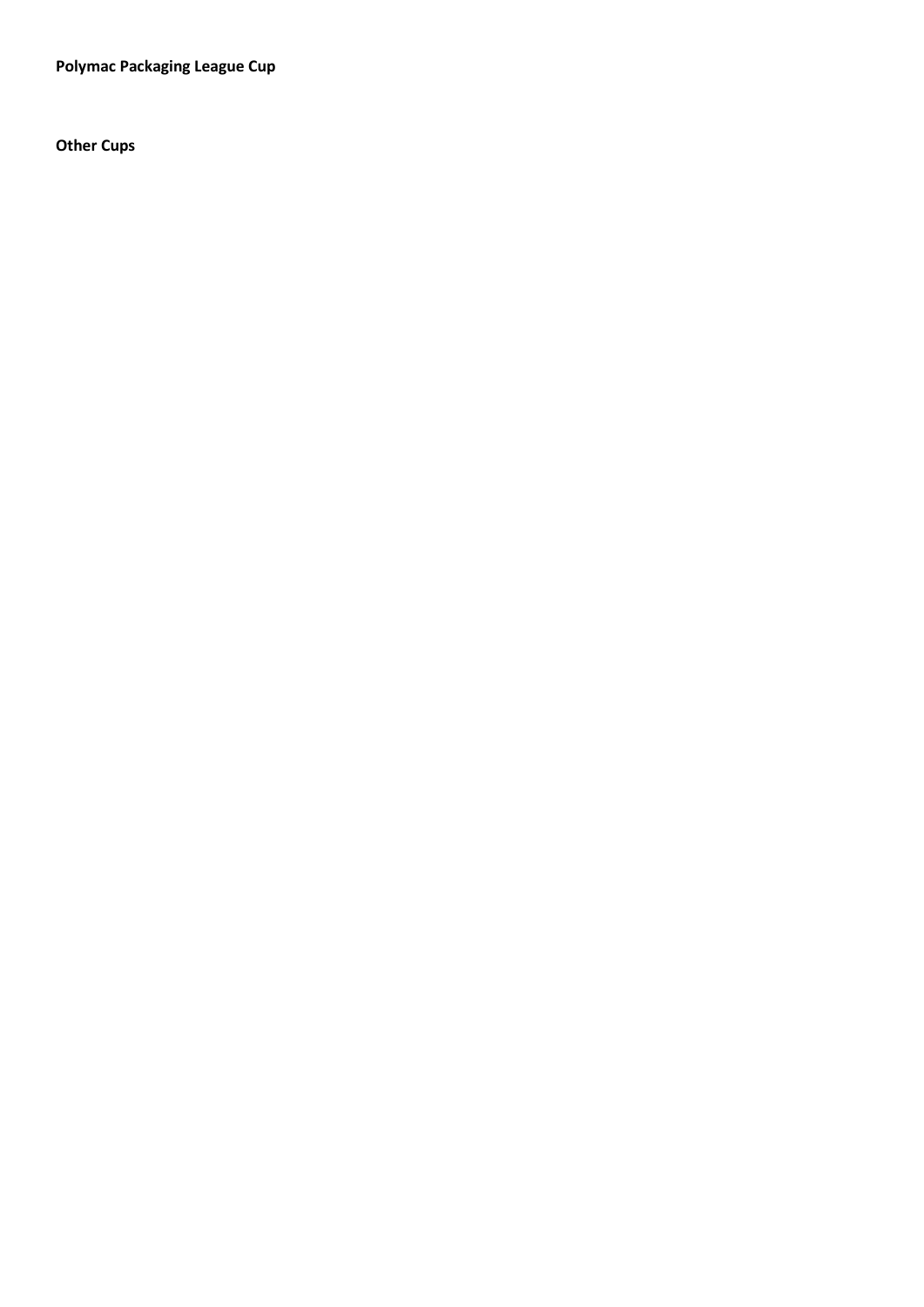**Polymac Packaging League Cup**

**Other Cups**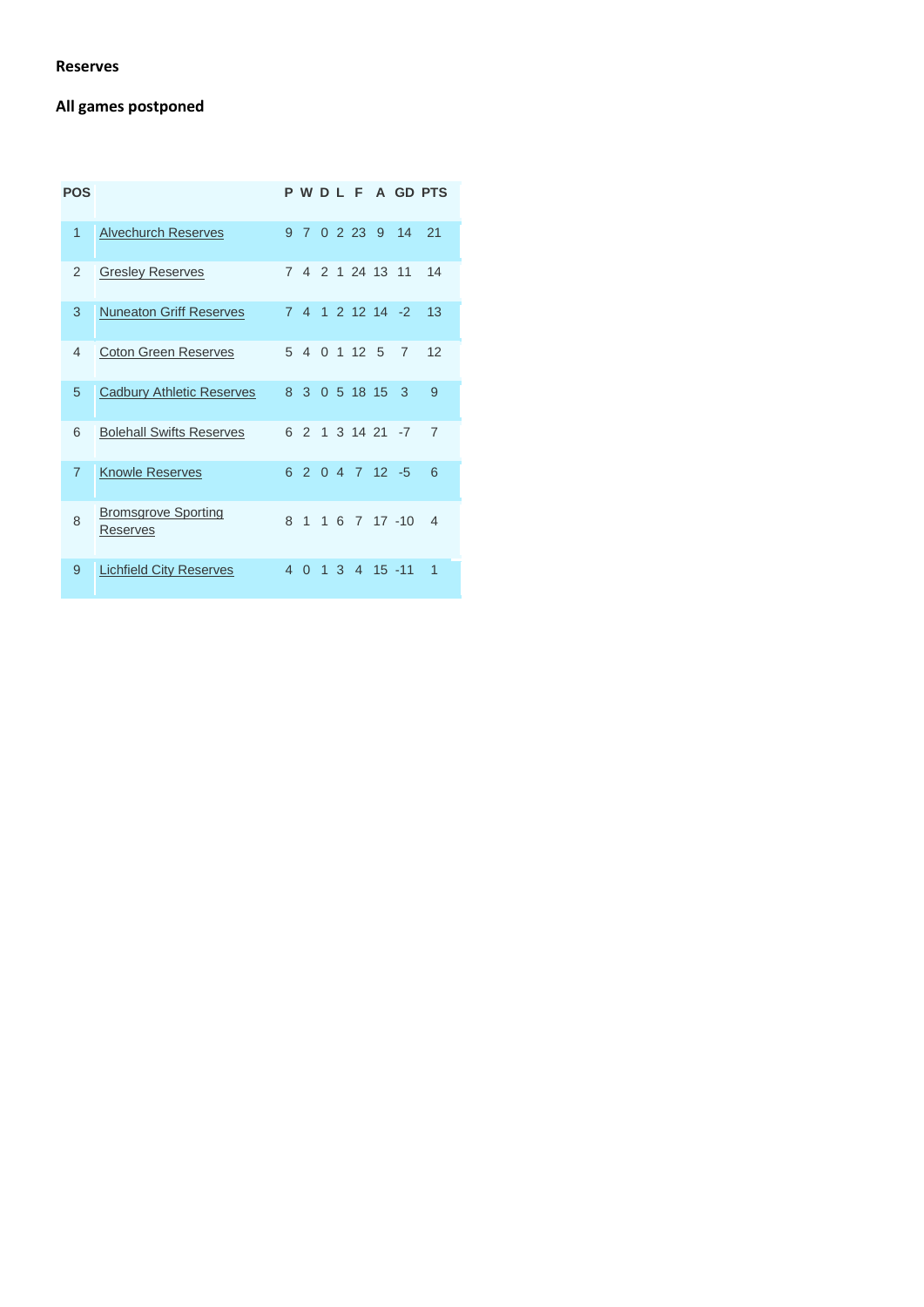#### **Reserves**

# **All games postponed**

| <b>POS</b>     |                                        |                |                |              |                 |                |                                | P W D L F A GD PTS |
|----------------|----------------------------------------|----------------|----------------|--------------|-----------------|----------------|--------------------------------|--------------------|
| 1              | <b>Alvechurch Reserves</b>             | $\mathsf{Q}$   | $\overline{7}$ | $\Omega$     | 2 2 3           | 9              | 14                             | 21                 |
| $\mathfrak{p}$ | <b>Gresley Reserves</b>                | $\overline{7}$ | 4              |              | 2 1 24 13 11    |                |                                | 14                 |
| 3              | <b>Nuneaton Griff Reserves</b>         | $\overline{7}$ | $\overline{4}$ |              | $1$ 2 12 14 -2  |                |                                | 13                 |
| 4              | <b>Coton Green Reserves</b>            | 5              | $\overline{4}$ |              | 0, 1, 12        | $\overline{5}$ | 7                              | 12                 |
| 5              | <b>Cadbury Athletic Reserves</b>       | 8              | 3              | $\Omega$     | 5 18 15         |                | 3                              | 9                  |
| 6              | <b>Bolehall Swifts Reserves</b>        | 6              | $\mathcal{P}$  | $\mathbf{1}$ | $3, 14, 21, -7$ |                |                                | $\overline{7}$     |
| $\overline{7}$ | <b>Knowle Reserves</b>                 | 6              | $\mathcal{P}$  |              | $0.4$ 7 12 -5   |                |                                | 6                  |
| 8              | <b>Bromsgrove Sporting</b><br>Reserves | 8              | 1              | $\mathbf{1}$ |                 |                | 6 7 17 -10                     | 4                  |
| 9              | <b>Lichfield City Reserves</b>         | 4              | $\Omega$       | 1            |                 |                | $3 \quad 4 \quad 15 \quad -11$ | 1                  |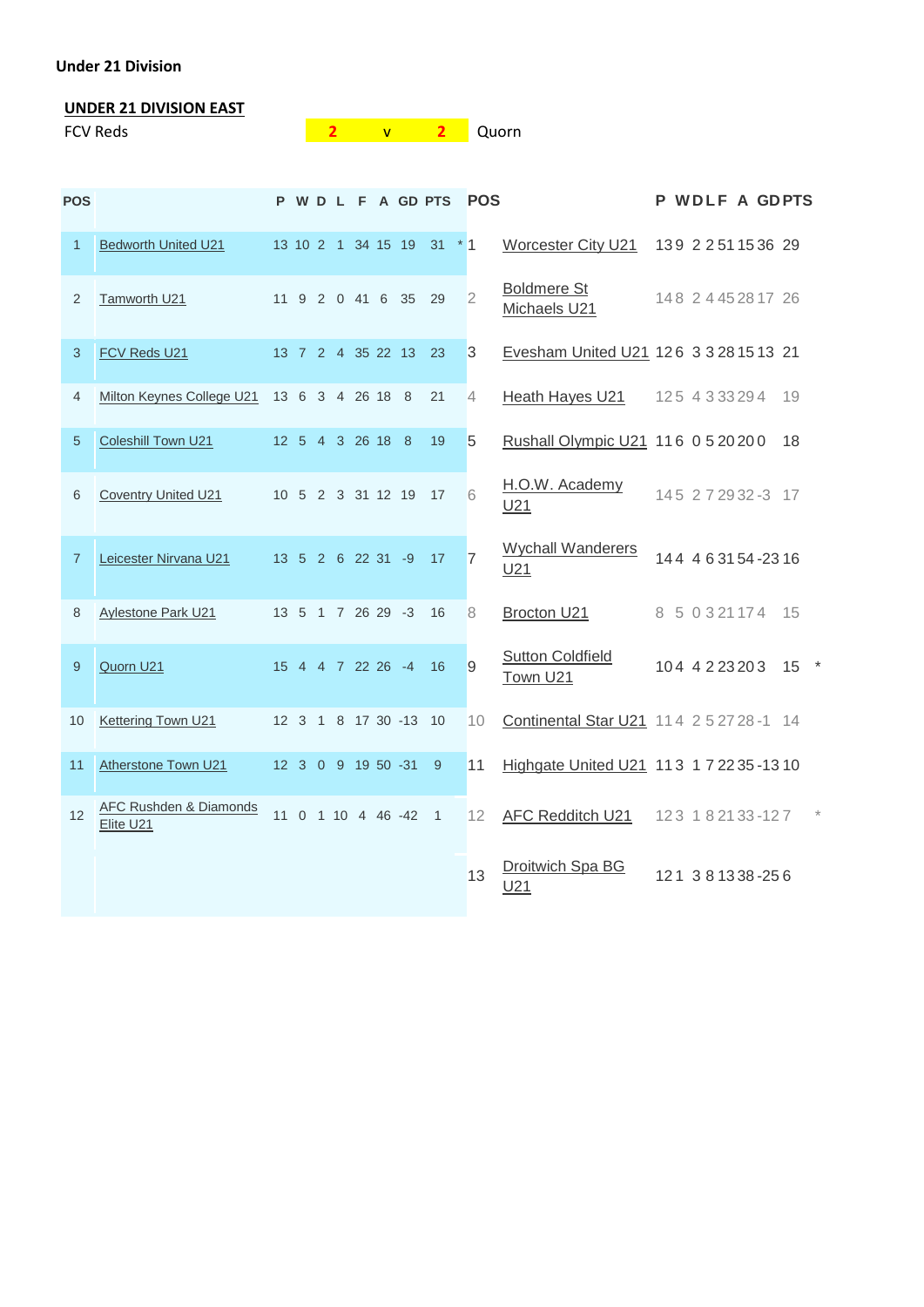#### **Under 21 Division**

# **UNDER 21 DIVISION EAST**

| <b>FCV Reds</b> |  | <b>Quorn</b> |
|-----------------|--|--------------|
|                 |  |              |

| <b>POS</b>     |                                     |    |          |  |                   |                       | P W D L F A GD PTS | <b>POS</b>     |                                             |  | P WDLF A GDPTS        |      |  |
|----------------|-------------------------------------|----|----------|--|-------------------|-----------------------|--------------------|----------------|---------------------------------------------|--|-----------------------|------|--|
| $\mathbf{1}$   | <b>Bedworth United U21</b>          |    |          |  |                   | 13 10 2 1 34 15 19 31 |                    | $*1$           | Worcester City U21                          |  | 139 2 2 51 15 36 29   |      |  |
| 2              | Tamworth U21                        |    |          |  |                   | 11 9 2 0 41 6 35      | 29                 | $\overline{2}$ | <b>Boldmere St</b><br>Michaels U21          |  | 148 2 4 4 5 2 8 17 26 |      |  |
| 3              | FCV Reds U21                        |    |          |  |                   | 13 7 2 4 35 22 13     | 23                 | $\overline{3}$ | Evesham United U21 126 3 3 28 15 13 21      |  |                       |      |  |
| 4              | Milton Keynes College U21           |    |          |  | 13 6 3 4 26 18 8  |                       | 21                 | 4              | Heath Hayes U21                             |  | 125 4 3 3 3 2 9 4     | 19   |  |
| 5              | <b>Coleshill Town U21</b>           |    |          |  | 12 5 4 3 26 18 8  |                       | 19                 | 5              | Rushall Olympic U21 116 0 5 20 20 0         |  |                       | 18   |  |
| 6              | <b>Coventry United U21</b>          |    |          |  |                   | 10 5 2 3 31 12 19     | 17                 | 6              | H.O.W. Academy<br>U <sub>21</sub>           |  | 145 2 7 29 32 -3 17   |      |  |
| $\overline{7}$ | Leicester Nirvana U21               |    |          |  | 13 5 2 6 22 31 -9 |                       | 17                 | $\overline{7}$ | <b>Wychall Wanderers</b><br>U <sub>21</sub> |  | 144 4 6 31 54 - 23 16 |      |  |
| 8              | <b>Aylestone Park U21</b>           |    |          |  | 13 5 1 7 26 29 -3 |                       | 16                 | 8              | Brocton U21                                 |  | 8 5 0 3 21 17 4       | - 15 |  |
| 9              | Quorn U21                           |    |          |  | 15 4 4 7 22 26 -4 |                       | 16                 | 9              | <b>Sutton Coldfield</b><br>Town U21         |  | 104 4 2 2 3 2 0 3     | 15   |  |
| 10             | Kettering Town U21                  |    |          |  |                   | 12 3 1 8 17 30 -13    | 10                 | 10             | Continental Star U21 114 2 5 27 28 -1 14    |  |                       |      |  |
| 11             | Atherstone Town U21                 |    |          |  |                   | 12 3 0 9 19 50 -31    | 9                  | 11             | Highgate United U21 113 1 7 22 35 - 13 10   |  |                       |      |  |
| 12             | AFC Rushden & Diamonds<br>Elite U21 | 11 | $\Omega$ |  |                   | 1 10 4 46 -42         | $\mathbf{1}$       | 12             | AFC Redditch U21                            |  | 123 182133-127        |      |  |
|                |                                     |    |          |  |                   |                       |                    | 13             | Droitwich Spa BG<br>U21                     |  | 121 381338-256        |      |  |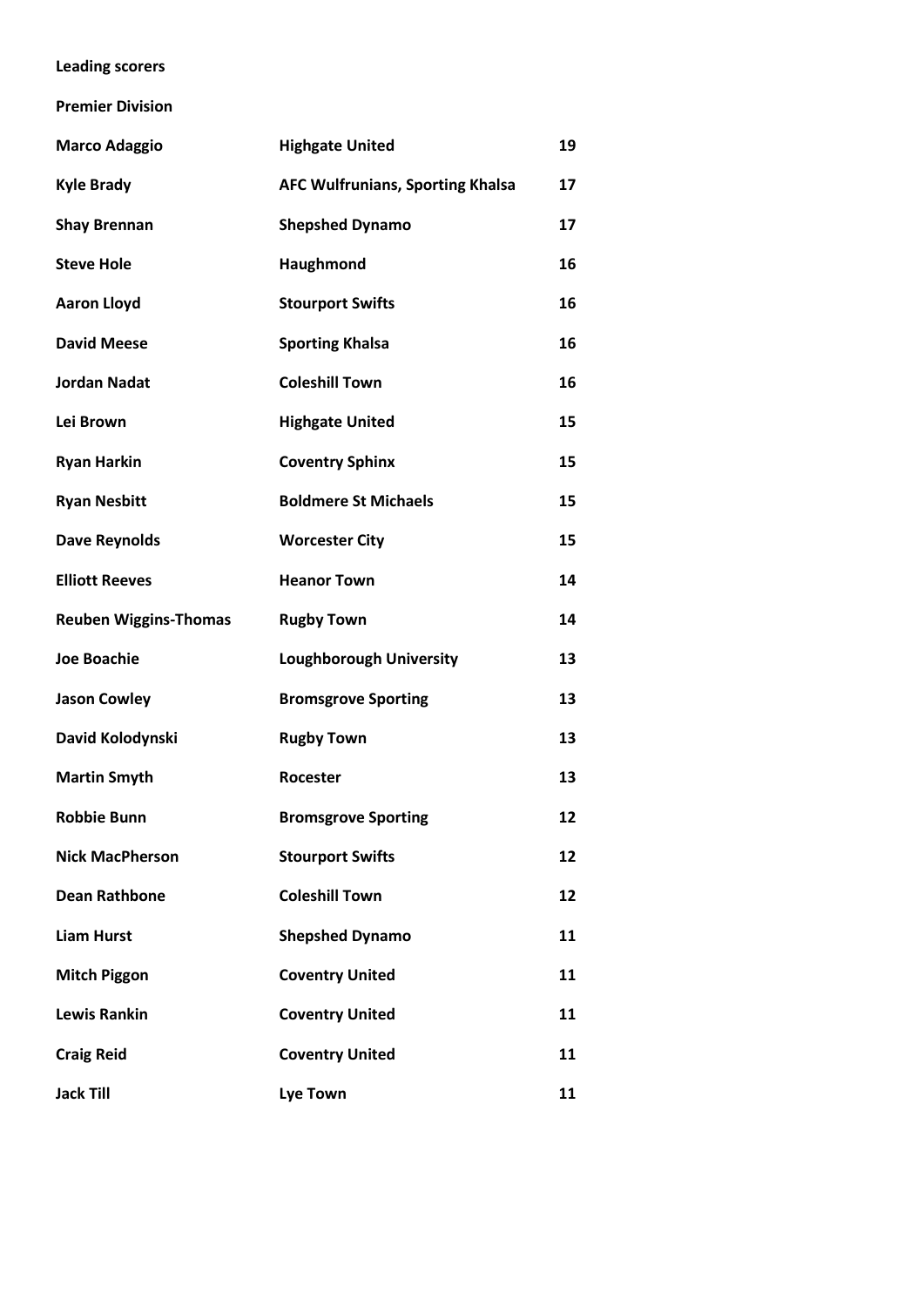#### **Leading scorers**

**Premier Division**

| <b>Marco Adaggio</b>         | <b>Highgate United</b>                  | 19 |
|------------------------------|-----------------------------------------|----|
| <b>Kyle Brady</b>            | <b>AFC Wulfrunians, Sporting Khalsa</b> | 17 |
| <b>Shay Brennan</b>          | <b>Shepshed Dynamo</b>                  | 17 |
| <b>Steve Hole</b>            | Haughmond                               | 16 |
| <b>Aaron Lloyd</b>           | <b>Stourport Swifts</b>                 | 16 |
| <b>David Meese</b>           | <b>Sporting Khalsa</b>                  | 16 |
| <b>Jordan Nadat</b>          | <b>Coleshill Town</b>                   | 16 |
| Lei Brown                    | <b>Highgate United</b>                  | 15 |
| <b>Ryan Harkin</b>           | <b>Coventry Sphinx</b>                  | 15 |
| <b>Ryan Nesbitt</b>          | <b>Boldmere St Michaels</b>             | 15 |
| <b>Dave Reynolds</b>         | <b>Worcester City</b>                   | 15 |
| <b>Elliott Reeves</b>        | <b>Heanor Town</b>                      | 14 |
| <b>Reuben Wiggins-Thomas</b> | <b>Rugby Town</b>                       | 14 |
| <b>Joe Boachie</b>           | <b>Loughborough University</b>          | 13 |
| <b>Jason Cowley</b>          | <b>Bromsgrove Sporting</b>              | 13 |
| David Kolodynski             | <b>Rugby Town</b>                       | 13 |
| <b>Martin Smyth</b>          | Rocester                                | 13 |
| <b>Robbie Bunn</b>           | <b>Bromsgrove Sporting</b>              | 12 |
| <b>Nick MacPherson</b>       | <b>Stourport Swifts</b>                 | 12 |
| <b>Dean Rathbone</b>         | <b>Coleshill Town</b>                   | 12 |
| <b>Liam Hurst</b>            | <b>Shepshed Dynamo</b>                  | 11 |
| <b>Mitch Piggon</b>          | <b>Coventry United</b>                  | 11 |
| <b>Lewis Rankin</b>          | <b>Coventry United</b>                  | 11 |
| <b>Craig Reid</b>            | <b>Coventry United</b>                  | 11 |
| <b>Jack Till</b>             | <b>Lye Town</b>                         | 11 |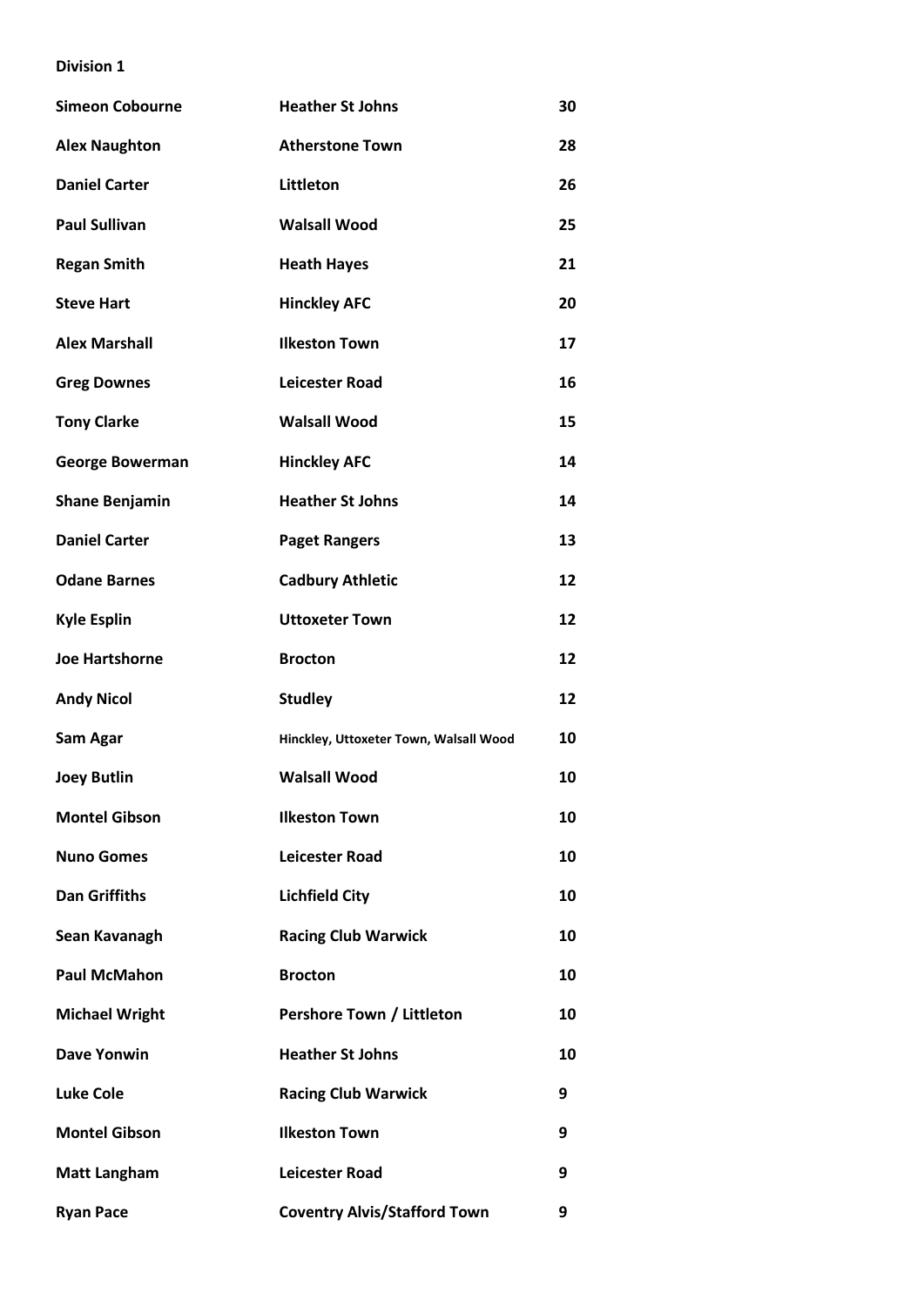| <b>Simeon Cobourne</b> | <b>Heather St Johns</b>                | 30 |
|------------------------|----------------------------------------|----|
| <b>Alex Naughton</b>   | <b>Atherstone Town</b>                 | 28 |
| <b>Daniel Carter</b>   | <b>Littleton</b>                       | 26 |
| <b>Paul Sullivan</b>   | <b>Walsall Wood</b>                    | 25 |
| <b>Regan Smith</b>     | <b>Heath Hayes</b>                     | 21 |
| <b>Steve Hart</b>      | <b>Hinckley AFC</b>                    | 20 |
| <b>Alex Marshall</b>   | <b>Ilkeston Town</b>                   | 17 |
| <b>Greg Downes</b>     | <b>Leicester Road</b>                  | 16 |
| <b>Tony Clarke</b>     | <b>Walsall Wood</b>                    | 15 |
| <b>George Bowerman</b> | <b>Hinckley AFC</b>                    | 14 |
| <b>Shane Benjamin</b>  | <b>Heather St Johns</b>                | 14 |
| <b>Daniel Carter</b>   | <b>Paget Rangers</b>                   | 13 |
| <b>Odane Barnes</b>    | <b>Cadbury Athletic</b>                | 12 |
| <b>Kyle Esplin</b>     | <b>Uttoxeter Town</b>                  | 12 |
| <b>Joe Hartshorne</b>  | <b>Brocton</b>                         | 12 |
| <b>Andy Nicol</b>      | <b>Studley</b>                         | 12 |
| Sam Agar               | Hinckley, Uttoxeter Town, Walsall Wood | 10 |
| <b>Joey Butlin</b>     | <b>Walsall Wood</b>                    | 10 |
| <b>Montel Gibson</b>   | <b>Ilkeston Town</b>                   | 10 |
| <b>Nuno Gomes</b>      | <b>Leicester Road</b>                  | 10 |
| <b>Dan Griffiths</b>   | <b>Lichfield City</b>                  | 10 |
| Sean Kavanagh          | <b>Racing Club Warwick</b>             | 10 |
| <b>Paul McMahon</b>    | <b>Brocton</b>                         | 10 |
| <b>Michael Wright</b>  | Pershore Town / Littleton              | 10 |
| <b>Dave Yonwin</b>     | <b>Heather St Johns</b>                | 10 |
| <b>Luke Cole</b>       | <b>Racing Club Warwick</b>             | 9  |
| <b>Montel Gibson</b>   | <b>Ilkeston Town</b>                   | 9  |
| <b>Matt Langham</b>    | <b>Leicester Road</b>                  | 9  |
| <b>Ryan Pace</b>       | <b>Coventry Alvis/Stafford Town</b>    | 9  |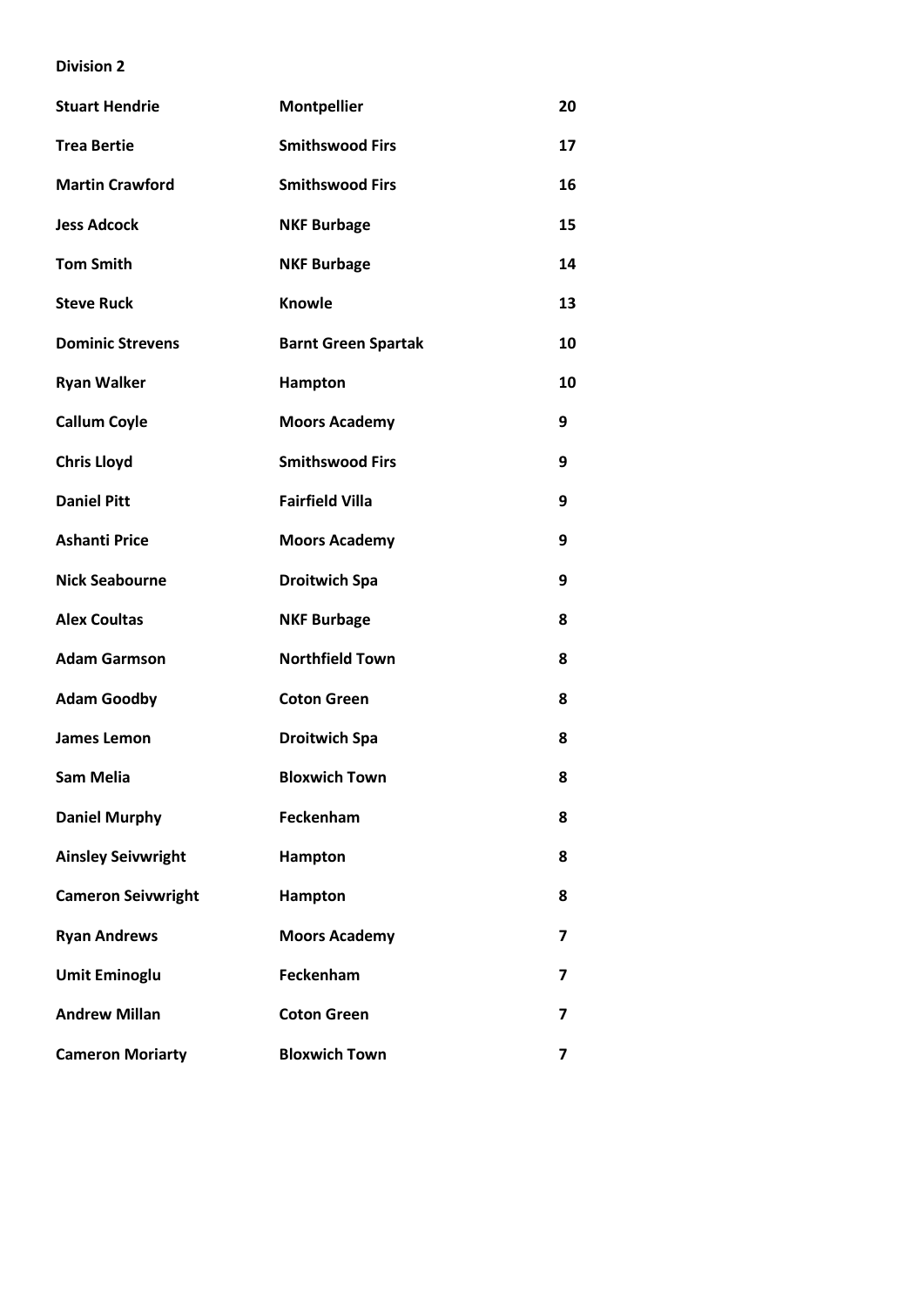| <b>Stuart Hendrie</b>     | <b>Montpellier</b>         | 20 |
|---------------------------|----------------------------|----|
| <b>Trea Bertie</b>        | <b>Smithswood Firs</b>     | 17 |
| <b>Martin Crawford</b>    | <b>Smithswood Firs</b>     | 16 |
| <b>Jess Adcock</b>        | <b>NKF Burbage</b>         | 15 |
| <b>Tom Smith</b>          | <b>NKF Burbage</b>         | 14 |
| <b>Steve Ruck</b>         | <b>Knowle</b>              | 13 |
| <b>Dominic Strevens</b>   | <b>Barnt Green Spartak</b> | 10 |
| <b>Ryan Walker</b>        | Hampton                    | 10 |
| <b>Callum Coyle</b>       | <b>Moors Academy</b>       | 9  |
| <b>Chris Lloyd</b>        | <b>Smithswood Firs</b>     | 9  |
| <b>Daniel Pitt</b>        | <b>Fairfield Villa</b>     | 9  |
| <b>Ashanti Price</b>      | <b>Moors Academy</b>       | 9  |
| <b>Nick Seabourne</b>     | <b>Droitwich Spa</b>       | 9  |
| <b>Alex Coultas</b>       | <b>NKF Burbage</b>         | 8  |
| <b>Adam Garmson</b>       | <b>Northfield Town</b>     | 8  |
| <b>Adam Goodby</b>        | <b>Coton Green</b>         | 8  |
| James Lemon               | <b>Droitwich Spa</b>       | 8  |
| <b>Sam Melia</b>          | <b>Bloxwich Town</b>       | 8  |
| <b>Daniel Murphy</b>      | Feckenham                  | 8  |
| <b>Ainsley Seivwright</b> | Hampton                    | 8  |
| <b>Cameron Seivwright</b> | Hampton                    | 8  |
| <b>Ryan Andrews</b>       | <b>Moors Academy</b>       | 7  |
| <b>Umit Eminoglu</b>      | Feckenham                  | 7  |
| <b>Andrew Millan</b>      | <b>Coton Green</b>         | 7  |
| <b>Cameron Moriarty</b>   | <b>Bloxwich Town</b>       | 7  |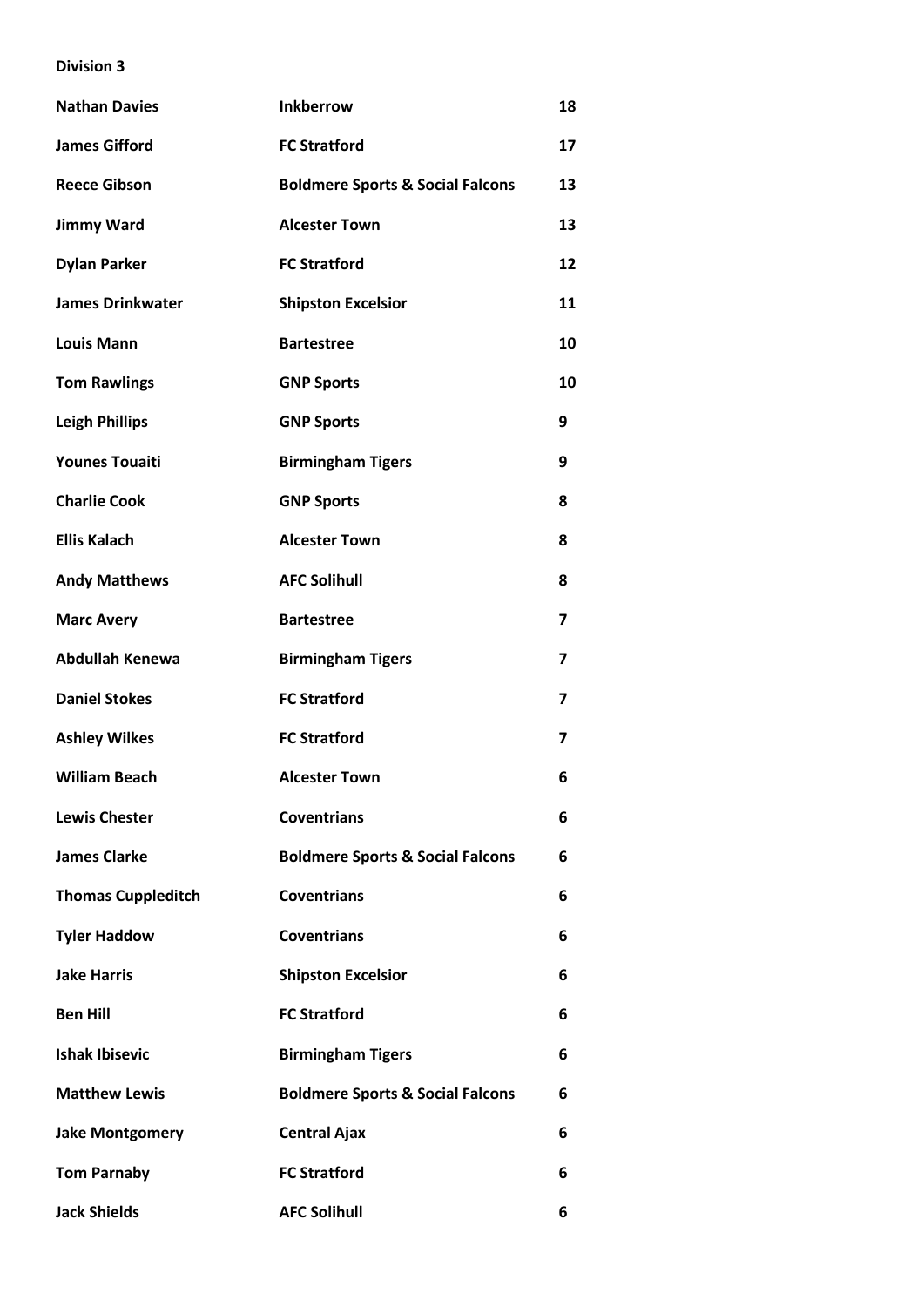| <b>Nathan Davies</b>      | <b>Inkberrow</b>                            | 18 |
|---------------------------|---------------------------------------------|----|
| <b>James Gifford</b>      | <b>FC Stratford</b>                         | 17 |
| <b>Reece Gibson</b>       | <b>Boldmere Sports &amp; Social Falcons</b> | 13 |
| <b>Jimmy Ward</b>         | <b>Alcester Town</b>                        | 13 |
| <b>Dylan Parker</b>       | <b>FC Stratford</b>                         | 12 |
| <b>James Drinkwater</b>   | <b>Shipston Excelsior</b>                   | 11 |
| <b>Louis Mann</b>         | <b>Bartestree</b>                           | 10 |
| <b>Tom Rawlings</b>       | <b>GNP Sports</b>                           | 10 |
| <b>Leigh Phillips</b>     | <b>GNP Sports</b>                           | 9  |
| <b>Younes Touaiti</b>     | <b>Birmingham Tigers</b>                    | 9  |
| <b>Charlie Cook</b>       | <b>GNP Sports</b>                           | 8  |
| <b>Ellis Kalach</b>       | <b>Alcester Town</b>                        | 8  |
| <b>Andy Matthews</b>      | <b>AFC Solihull</b>                         | 8  |
| <b>Marc Avery</b>         | <b>Bartestree</b>                           | 7  |
| <b>Abdullah Kenewa</b>    | <b>Birmingham Tigers</b>                    | 7  |
| <b>Daniel Stokes</b>      | <b>FC Stratford</b>                         | 7  |
| <b>Ashley Wilkes</b>      | <b>FC Stratford</b>                         | 7  |
| <b>William Beach</b>      | <b>Alcester Town</b>                        | 6  |
| <b>Lewis Chester</b>      | <b>Coventrians</b>                          | 6  |
| <b>James Clarke</b>       | <b>Boldmere Sports &amp; Social Falcons</b> | 6  |
| <b>Thomas Cuppleditch</b> | <b>Coventrians</b>                          | 6  |
| <b>Tyler Haddow</b>       | <b>Coventrians</b>                          | 6  |
| <b>Jake Harris</b>        | <b>Shipston Excelsior</b>                   | 6  |
| <b>Ben Hill</b>           | <b>FC Stratford</b>                         | 6  |
| <b>Ishak Ibisevic</b>     | <b>Birmingham Tigers</b>                    | 6  |
| <b>Matthew Lewis</b>      | <b>Boldmere Sports &amp; Social Falcons</b> | 6  |
| <b>Jake Montgomery</b>    | <b>Central Ajax</b>                         | 6  |
| <b>Tom Parnaby</b>        | <b>FC Stratford</b>                         | 6  |
| <b>Jack Shields</b>       | <b>AFC Solihull</b>                         | 6  |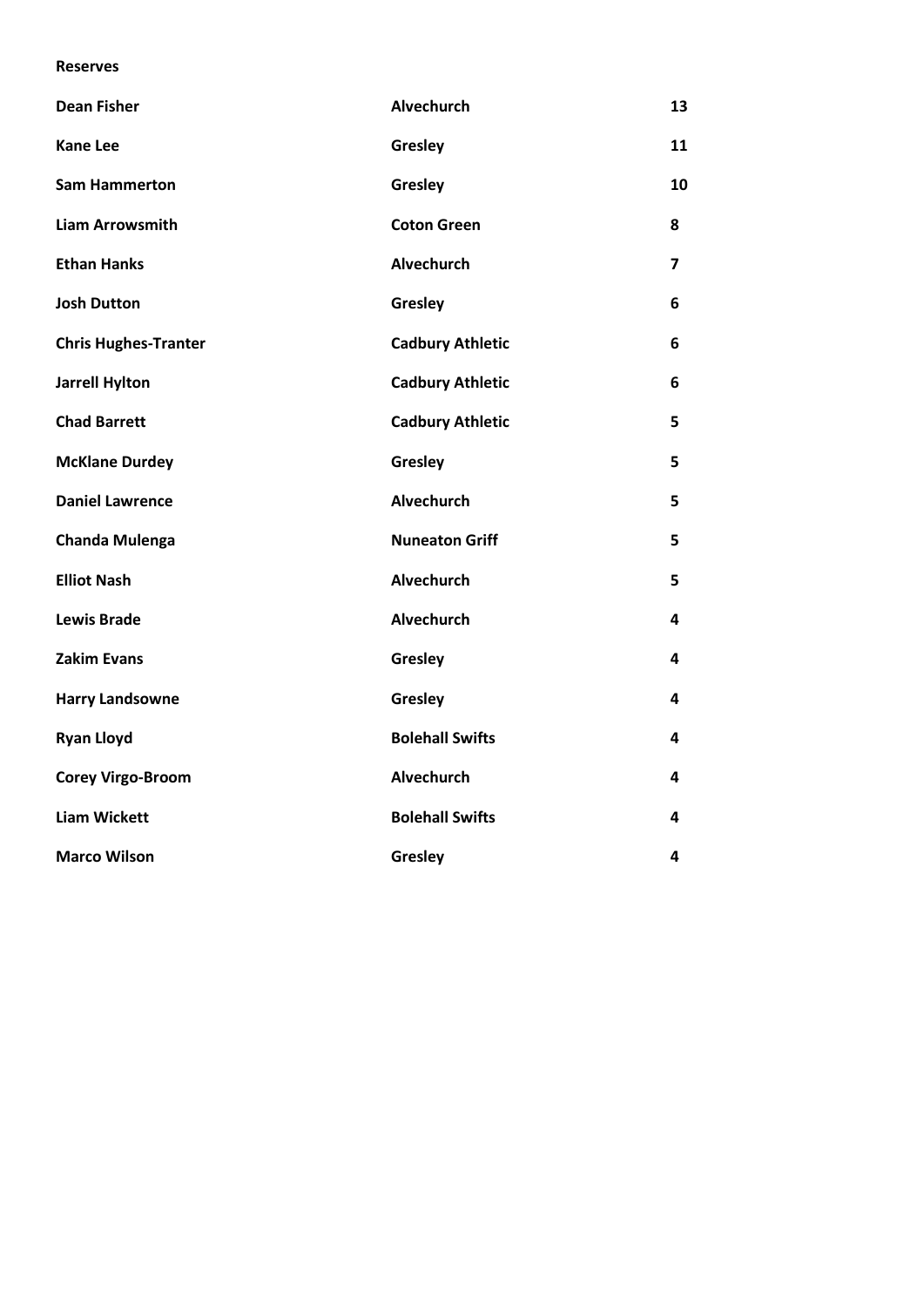#### **Reserves**

| <b>Dean Fisher</b>          | Alvechurch              | 13             |
|-----------------------------|-------------------------|----------------|
| <b>Kane Lee</b>             | Gresley                 | 11             |
| <b>Sam Hammerton</b>        | Gresley                 | 10             |
| <b>Liam Arrowsmith</b>      | <b>Coton Green</b>      | 8              |
| <b>Ethan Hanks</b>          | Alvechurch              | $\overline{ }$ |
| <b>Josh Dutton</b>          | Gresley                 | 6              |
| <b>Chris Hughes-Tranter</b> | <b>Cadbury Athletic</b> | 6              |
| <b>Jarrell Hylton</b>       | <b>Cadbury Athletic</b> | 6              |
| <b>Chad Barrett</b>         | <b>Cadbury Athletic</b> | 5              |
| <b>McKlane Durdey</b>       | Gresley                 | 5              |
| <b>Daniel Lawrence</b>      | <b>Alvechurch</b>       | 5              |
| <b>Chanda Mulenga</b>       | <b>Nuneaton Griff</b>   | 5              |
| <b>Elliot Nash</b>          | Alvechurch              | 5              |
| <b>Lewis Brade</b>          | Alvechurch              | 4              |
| <b>Zakim Evans</b>          | Gresley                 | 4              |
| <b>Harry Landsowne</b>      | Gresley                 | 4              |
| <b>Ryan Lloyd</b>           | <b>Bolehall Swifts</b>  | 4              |
| <b>Corey Virgo-Broom</b>    | Alvechurch              | 4              |
| <b>Liam Wickett</b>         | <b>Bolehall Swifts</b>  | 4              |
| <b>Marco Wilson</b>         | Gresley                 | 4              |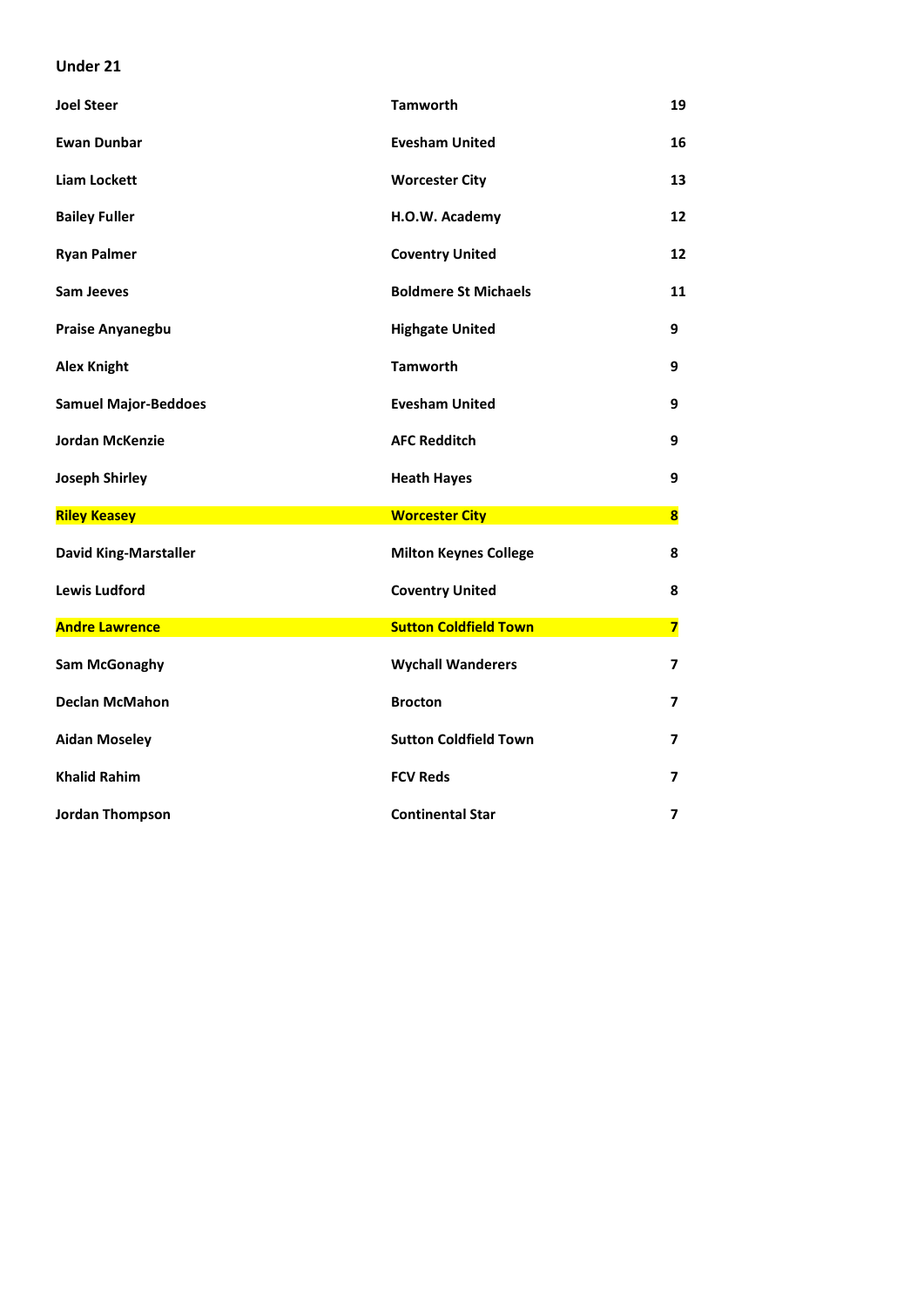#### **Under 21**

| <b>Joel Steer</b>            | <b>Tamworth</b>              | 19                      |
|------------------------------|------------------------------|-------------------------|
| <b>Ewan Dunbar</b>           | <b>Evesham United</b>        | 16                      |
| Liam Lockett                 | <b>Worcester City</b>        | 13                      |
| <b>Bailey Fuller</b>         | H.O.W. Academy               | 12                      |
| <b>Ryan Palmer</b>           | <b>Coventry United</b>       | 12                      |
| <b>Sam Jeeves</b>            | <b>Boldmere St Michaels</b>  | 11                      |
| Praise Anyanegbu             | <b>Highgate United</b>       | 9                       |
| <b>Alex Knight</b>           | <b>Tamworth</b>              | 9                       |
| <b>Samuel Major-Beddoes</b>  | <b>Evesham United</b>        | 9                       |
| <b>Jordan McKenzie</b>       | <b>AFC Redditch</b>          | 9                       |
| <b>Joseph Shirley</b>        | <b>Heath Hayes</b>           | 9                       |
| <b>Riley Keasey</b>          | <b>Worcester City</b>        | $\overline{\mathbf{8}}$ |
| <b>David King-Marstaller</b> | <b>Milton Keynes College</b> | 8                       |
| <b>Lewis Ludford</b>         | <b>Coventry United</b>       | 8                       |
| <b>Andre Lawrence</b>        | <b>Sutton Coldfield Town</b> | $\overline{\mathbf{z}}$ |
| Sam McGonaghy                | <b>Wychall Wanderers</b>     | 7                       |
| <b>Declan McMahon</b>        | <b>Brocton</b>               | 7                       |
| <b>Aidan Moseley</b>         | <b>Sutton Coldfield Town</b> | 7                       |
|                              |                              |                         |
| <b>Khalid Rahim</b>          | <b>FCV Reds</b>              | 7                       |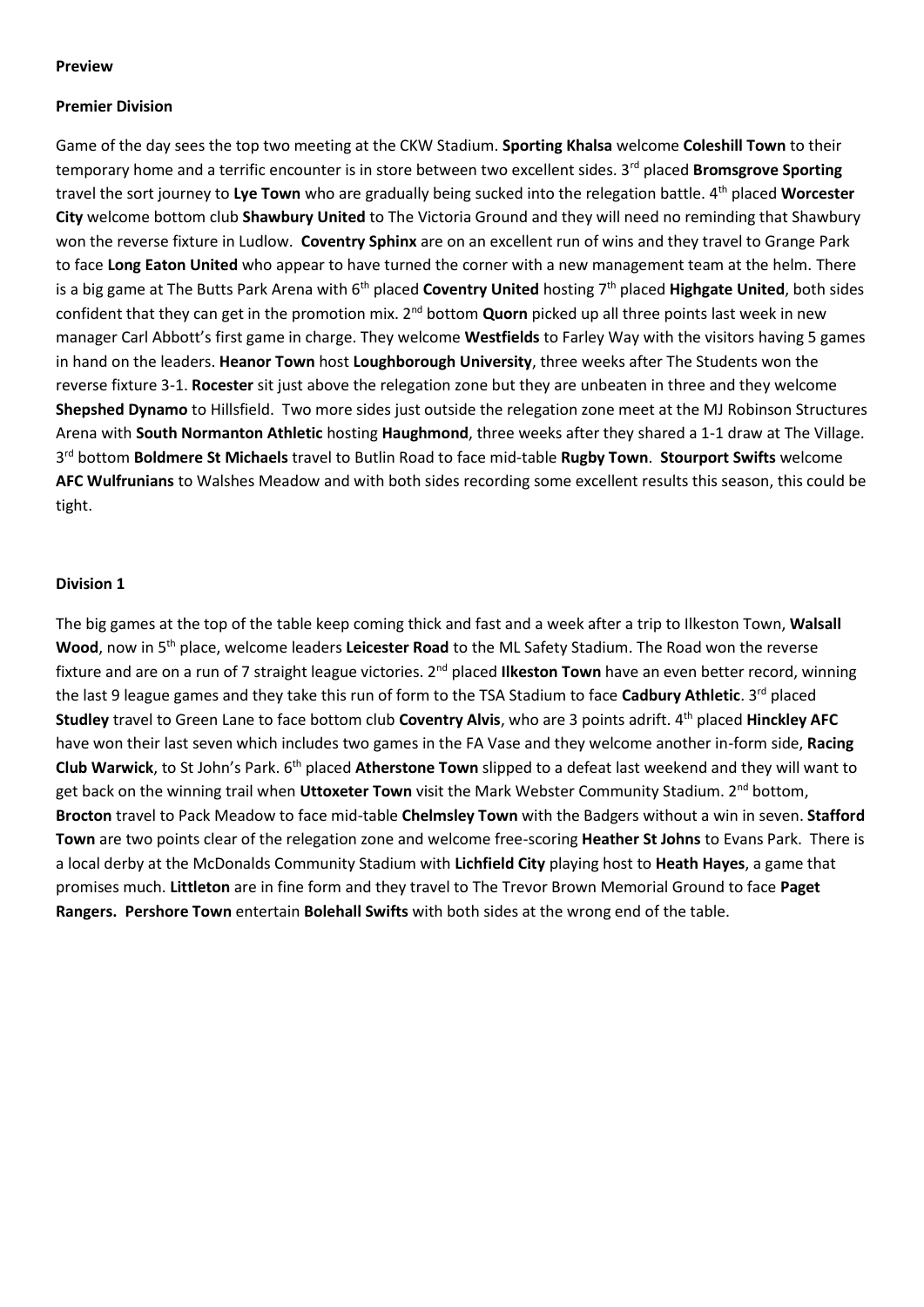#### **Preview**

#### **Premier Division**

Game of the day sees the top two meeting at the CKW Stadium. **Sporting Khalsa** welcome **Coleshill Town** to their temporary home and a terrific encounter is in store between two excellent sides. 3<sup>rd</sup> placed **Bromsgrove Sporting** travel the sort journey to **Lye Town** who are gradually being sucked into the relegation battle. 4th placed **Worcester City** welcome bottom club **Shawbury United** to The Victoria Ground and they will need no reminding that Shawbury won the reverse fixture in Ludlow. **Coventry Sphinx** are on an excellent run of wins and they travel to Grange Park to face **Long Eaton United** who appear to have turned the corner with a new management team at the helm. There is a big game at The Butts Park Arena with 6<sup>th</sup> placed **Coventry United** hosting 7<sup>th</sup> placed **Highgate United**, both sides confident that they can get in the promotion mix. 2nd bottom **Quorn** picked up all three points last week in new manager Carl Abbott's first game in charge. They welcome **Westfields** to Farley Way with the visitors having 5 games in hand on the leaders. **Heanor Town** host **Loughborough University**, three weeks after The Students won the reverse fixture 3-1. **Rocester** sit just above the relegation zone but they are unbeaten in three and they welcome **Shepshed Dynamo** to Hillsfield. Two more sides just outside the relegation zone meet at the MJ Robinson Structures Arena with **South Normanton Athletic** hosting **Haughmond**, three weeks after they shared a 1-1 draw at The Village. 3 rd bottom **Boldmere St Michaels** travel to Butlin Road to face mid-table **Rugby Town**. **Stourport Swifts** welcome **AFC Wulfrunians** to Walshes Meadow and with both sides recording some excellent results this season, this could be tight.

#### **Division 1**

The big games at the top of the table keep coming thick and fast and a week after a trip to Ilkeston Town, **Walsall Wood**, now in 5th place, welcome leaders **Leicester Road** to the ML Safety Stadium. The Road won the reverse fixture and are on a run of 7 straight league victories. 2nd placed **Ilkeston Town** have an even better record, winning the last 9 league games and they take this run of form to the TSA Stadium to face **Cadbury Athletic**. 3rd placed **Studley** travel to Green Lane to face bottom club **Coventry Alvis**, who are 3 points adrift. 4th placed **Hinckley AFC** have won their last seven which includes two games in the FA Vase and they welcome another in-form side, **Racing Club Warwick**, to St John's Park. 6th placed **Atherstone Town** slipped to a defeat last weekend and they will want to get back on the winning trail when **Uttoxeter Town** visit the Mark Webster Community Stadium. 2nd bottom, **Brocton** travel to Pack Meadow to face mid-table **Chelmsley Town** with the Badgers without a win in seven. **Stafford Town** are two points clear of the relegation zone and welcome free-scoring **Heather St Johns** to Evans Park. There is a local derby at the McDonalds Community Stadium with **Lichfield City** playing host to **Heath Hayes**, a game that promises much. **Littleton** are in fine form and they travel to The Trevor Brown Memorial Ground to face **Paget Rangers. Pershore Town** entertain **Bolehall Swifts** with both sides at the wrong end of the table.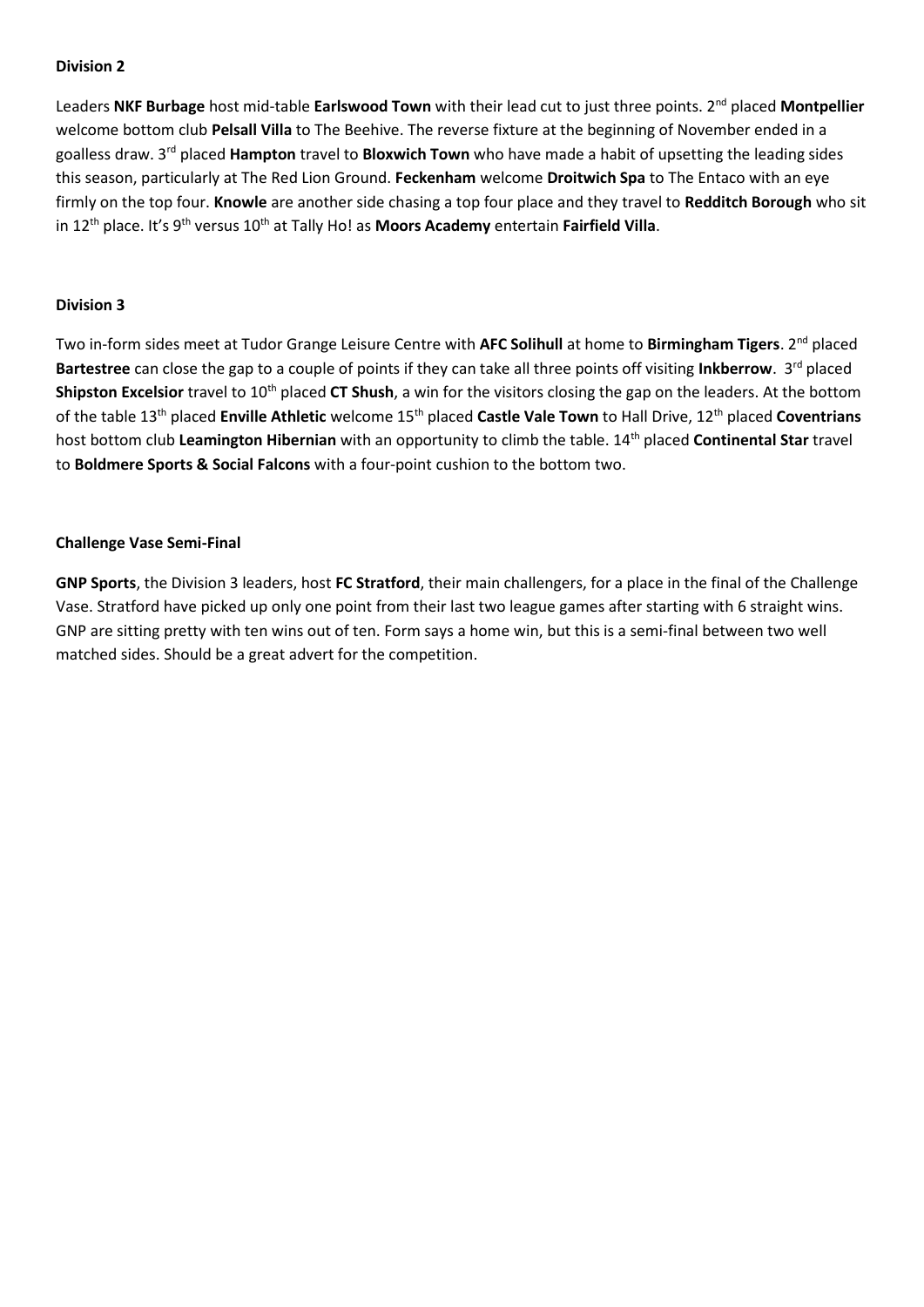Leaders NKF Burbage host mid-table Earlswood Town with their lead cut to just three points. 2<sup>nd</sup> placed Montpellier welcome bottom club **Pelsall Villa** to The Beehive. The reverse fixture at the beginning of November ended in a goalless draw. 3rd placed **Hampton** travel to **Bloxwich Town** who have made a habit of upsetting the leading sides this season, particularly at The Red Lion Ground. **Feckenham** welcome **Droitwich Spa** to The Entaco with an eye firmly on the top four. **Knowle** are another side chasing a top four place and they travel to **Redditch Borough** who sit in 12<sup>th</sup> place. It's 9<sup>th</sup> versus 10<sup>th</sup> at Tally Ho! as **Moors Academy** entertain **Fairfield Villa**.

#### **Division 3**

Two in-form sides meet at Tudor Grange Leisure Centre with **AFC Solihull** at home to **Birmingham Tigers**. 2 nd placed **Bartestree** can close the gap to a couple of points if they can take all three points off visiting **Inkberrow**. 3<sup>rd</sup> placed **Shipston Excelsior** travel to 10<sup>th</sup> placed **CT Shush**, a win for the visitors closing the gap on the leaders. At the bottom of the table 13th placed **Enville Athletic** welcome 15th placed **Castle Vale Town** to Hall Drive, 12th placed **Coventrians** host bottom club **Leamington Hibernian** with an opportunity to climb the table. 14th placed **Continental Star** travel to **Boldmere Sports & Social Falcons** with a four-point cushion to the bottom two.

#### **Challenge Vase Semi-Final**

**GNP Sports**, the Division 3 leaders, host **FC Stratford**, their main challengers, for a place in the final of the Challenge Vase. Stratford have picked up only one point from their last two league games after starting with 6 straight wins. GNP are sitting pretty with ten wins out of ten. Form says a home win, but this is a semi-final between two well matched sides. Should be a great advert for the competition.